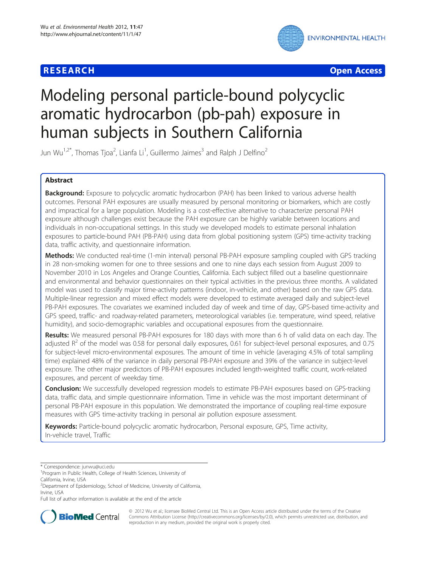# **RESEARCH CHEAR CHEAR CHEAR CHEAR CHEAR CHEAR CHEAR CHEAR CHEAR CHEAR CHEAR CHEAR CHEAR CHEAR CHEAR CHEAR CHEAR**



# Modeling personal particle-bound polycyclic aromatic hydrocarbon (pb-pah) exposure in human subjects in Southern California

Jun Wu<sup>1,2\*</sup>, Thomas Tjoa<sup>2</sup>, Lianfa Li<sup>1</sup>, Guillermo Jaimes<sup>3</sup> and Ralph J Delfino<sup>2</sup>

# Abstract

Background: Exposure to polycyclic aromatic hydrocarbon (PAH) has been linked to various adverse health outcomes. Personal PAH exposures are usually measured by personal monitoring or biomarkers, which are costly and impractical for a large population. Modeling is a cost-effective alternative to characterize personal PAH exposure although challenges exist because the PAH exposure can be highly variable between locations and individuals in non-occupational settings. In this study we developed models to estimate personal inhalation exposures to particle-bound PAH (PB-PAH) using data from global positioning system (GPS) time-activity tracking data, traffic activity, and questionnaire information.

Methods: We conducted real-time (1-min interval) personal PB-PAH exposure sampling coupled with GPS tracking in 28 non-smoking women for one to three sessions and one to nine days each session from August 2009 to November 2010 in Los Angeles and Orange Counties, California. Each subject filled out a baseline questionnaire and environmental and behavior questionnaires on their typical activities in the previous three months. A validated model was used to classify major time-activity patterns (indoor, in-vehicle, and other) based on the raw GPS data. Multiple-linear regression and mixed effect models were developed to estimate averaged daily and subject-level PB-PAH exposures. The covariates we examined included day of week and time of day, GPS-based time-activity and GPS speed, traffic- and roadway-related parameters, meteorological variables (i.e. temperature, wind speed, relative humidity), and socio-demographic variables and occupational exposures from the questionnaire.

Results: We measured personal PB-PAH exposures for 180 days with more than 6 h of valid data on each day. The adjusted  $R^2$  of the model was 0.58 for personal daily exposures, 0.61 for subject-level personal exposures, and 0.75 for subject-level micro-environmental exposures. The amount of time in vehicle (averaging 4.5% of total sampling time) explained 48% of the variance in daily personal PB-PAH exposure and 39% of the variance in subject-level exposure. The other major predictors of PB-PAH exposures included length-weighted traffic count, work-related exposures, and percent of weekday time.

**Conclusion:** We successfully developed regression models to estimate PB-PAH exposures based on GPS-tracking data, traffic data, and simple questionnaire information. Time in vehicle was the most important determinant of personal PB-PAH exposure in this population. We demonstrated the importance of coupling real-time exposure measures with GPS time-activity tracking in personal air pollution exposure assessment.

Keywords: Particle-bound polycyclic aromatic hydrocarbon, Personal exposure, GPS, Time activity, In-vehicle travel, Traffic

Full list of author information is available at the end of the article



© 2012 Wu et al.; licensee BioMed Central Ltd. This is an Open Access article distributed under the terms of the Creative Commons Attribution License [\(http://creativecommons.org/licenses/by/2.0\)](http://creativecommons.org/licenses/by/2.0), which permits unrestricted use, distribution, and reproduction in any medium, provided the original work is properly cited.

<sup>\*</sup> Correspondence: [junwu@uci.edu](mailto:junwu@uci.edu) <sup>1</sup>

<sup>&</sup>lt;sup>1</sup> Program in Public Health, College of Health Sciences, University of California, Irvine, USA

<sup>&</sup>lt;sup>2</sup>Department of Epidemiology, School of Medicine, University of California, Irvine, USA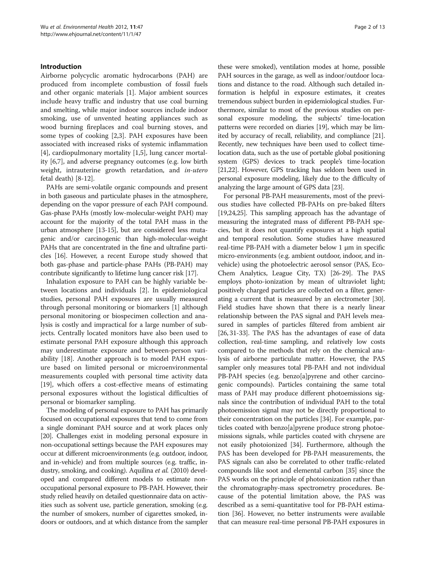## Introduction

Airborne polycyclic aromatic hydrocarbons (PAH) are produced from incomplete combustion of fossil fuels and other organic materials [[1\]](#page-10-0). Major ambient sources include heavy traffic and industry that use coal burning and smelting, while major indoor sources include indoor smoking, use of unvented heating appliances such as wood burning fireplaces and coal burning stoves, and some types of cooking [[2,3\]](#page-10-0). PAH exposures have been associated with increased risks of systemic inflammation [[4\]](#page-10-0), cardiopulmonary mortality [[1,5\]](#page-10-0), lung cancer mortality [\[6,7](#page-10-0)], and adverse pregnancy outcomes (e.g. low birth weight, intrauterine growth retardation, and in-utero fetal death) [[8-](#page-10-0)[12](#page-11-0)].

PAHs are semi-volatile organic compounds and present in both gaseous and particulate phases in the atmosphere, depending on the vapor pressure of each PAH compound. Gas-phase PAHs (mostly low-molecular-weight PAH) may account for the majority of the total PAH mass in the urban atmosphere [\[13-15\]](#page-11-0), but are considered less mutagenic and/or carcinogenic than high-molecular-weight PAHs that are concentrated in the fine and ultrafine particles [\[16\]](#page-11-0). However, a recent Europe study showed that both gas-phase and particle-phase PAHs (PB-PAH) may contribute significantly to lifetime lung cancer risk [\[17\]](#page-11-0).

Inhalation exposure to PAH can be highly variable between locations and individuals [\[2](#page-10-0)]. In epidemiological studies, personal PAH exposures are usually measured through personal monitoring or biomarkers [\[1](#page-10-0)] although personal monitoring or biospecimen collection and analysis is costly and impractical for a large number of subjects. Centrally located monitors have also been used to estimate personal PAH exposure although this approach may underestimate exposure and between-person variability [[18](#page-11-0)]. Another approach is to model PAH exposure based on limited personal or microenvironmental measurements coupled with personal time activity data [[19\]](#page-11-0), which offers a cost-effective means of estimating personal exposures without the logistical difficulties of personal or biomarker sampling.

The modeling of personal exposure to PAH has primarily focused on occupational exposures that tend to come from a single dominant PAH source and at work places only [[20](#page-11-0)]. Challenges exist in modeling personal exposure in non-occupational settings because the PAH exposures may occur at different microenvironments (e.g. outdoor, indoor, and in-vehicle) and from multiple sources (e.g. traffic, industry, smoking, and cooking). Aquilina et al. (2010) developed and compared different models to estimate nonoccupational personal exposure to PB-PAH. However, their study relied heavily on detailed questionnaire data on activities such as solvent use, particle generation, smoking (e.g. the number of smokers, number of cigarettes smoked, indoors or outdoors, and at which distance from the sampler

these were smoked), ventilation modes at home, possible PAH sources in the garage, as well as indoor/outdoor locations and distance to the road. Although such detailed information is helpful in exposure estimates, it creates tremendous subject burden in epidemiological studies. Furthermore, similar to most of the previous studies on personal exposure modeling, the subjects' time-location patterns were recorded on diaries [\[19\]](#page-11-0), which may be limited by accuracy of recall, reliability, and compliance [[21](#page-11-0)]. Recently, new techniques have been used to collect timelocation data, such as the use of portable global positioning system (GPS) devices to track people's time-location [[21,22\]](#page-11-0). However, GPS tracking has seldom been used in personal exposure modeling, likely due to the difficulty of analyzing the large amount of GPS data [[23](#page-11-0)].

For personal PB-PAH measurements, most of the previous studies have collected PB-PAHs on pre-baked filters [[19,24,25\]](#page-11-0). This sampling approach has the advantage of measuring the integrated mass of different PB-PAH species, but it does not quantify exposures at a high spatial and temporal resolution. Some studies have measured real-time PB-PAH with a diameter below 1 μm in specific micro-environments (e.g. ambient outdoor, indoor, and invehicle) using the photoelectric aerosol sensor (PAS, Eco-Chem Analytics, League City, TX) [\[26-29\]](#page-11-0). The PAS employs photo-ionization by mean of ultraviolet light; positively charged particles are collected on a filter, generating a current that is measured by an electrometer [[30](#page-11-0)]. Field studies have shown that there is a nearly linear relationship between the PAS signal and PAH levels measured in samples of particles filtered from ambient air [[26](#page-11-0), [31-33\]](#page-11-0). The PAS has the advantages of ease of data collection, real-time sampling, and relatively low costs compared to the methods that rely on the chemical analysis of airborne particulate matter. However, the PAS sampler only measures total PB-PAH and not individual PB-PAH species (e.g. benzo[a]pyrene and other carcinogenic compounds). Particles containing the same total mass of PAH may produce different photoemissions signals since the contribution of individual PAH to the total photoemission signal may not be directly proportional to their concentration on the particles [[34](#page-11-0)]. For example, particles coated with benzo[a]pyrene produce strong photoemissions signals, while particles coated with chrysene are not easily photoionized [\[34\]](#page-11-0). Furthermore, although the PAS has been developed for PB-PAH measurements, the PAS signals can also be correlated to other traffic-related compounds like soot and elemental carbon [\[35](#page-11-0)] since the PAS works on the principle of photoionization rather than the chromatography-mass spectrometry procedures. Because of the potential limitation above, the PAS was described as a semi-quantitative tool for PB-PAH estimation [[36](#page-11-0)]. However, no better instruments were available that can measure real-time personal PB-PAH exposures in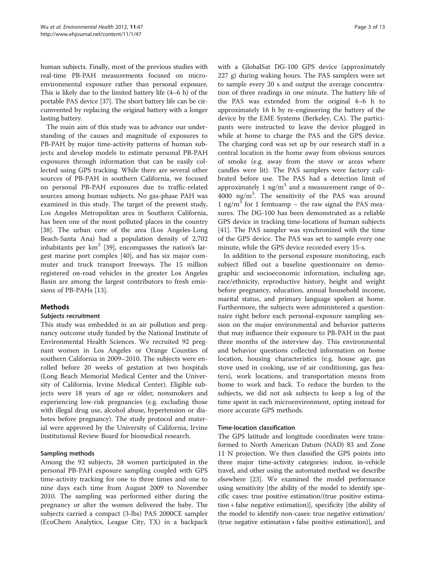human subjects. Finally, most of the previous studies with real-time PB-PAH measurements focused on microenvironmental exposure rather than personal exposure. This is likely due to the limited battery life (4–6 h) of the portable PAS device [[37\]](#page-11-0). The short battery life can be circumvented by replacing the original battery with a longer lasting battery.

The main aim of this study was to advance our understanding of the causes and magnitude of exposures to PB-PAH by major time-activity patterns of human subjects and develop models to estimate personal PB-PAH exposures through information that can be easily collected using GPS tracking. While there are several other sources of PB-PAH in southern California, we focused on personal PB-PAH exposures due to traffic-related sources among human subjects. No gas-phase PAH was examined in this study. The target of the present study, Los Angeles Metropolitan area in Southern California, has been one of the most polluted places in the country [[38\]](#page-11-0). The urban core of the area (Los Angeles-Long Beach-Santa Ana) had a population density of 2,702 inhabitants per  $km^2$  [[39\]](#page-11-0), encompasses the nation's largest marine port complex [[40](#page-11-0)], and has six major commuter and truck transport freeways. The 15 million registered on-road vehicles in the greater Los Angeles Basin are among the largest contributors to fresh emissions of PB-PAHs [[13](#page-11-0)].

# Methods

# Subjects recruitment

This study was embedded in an air pollution and pregnancy outcome study funded by the National Institute of Environmental Health Sciences. We recruited 92 pregnant women in Los Angeles or Orange Counties of southern California in 2009–2010. The subjects were enrolled before 20 weeks of gestation at two hospitals (Long Beach Memorial Medical Center and the University of California, Irvine Medical Center). Eligible subjects were 18 years of age or older, nonsmokers and experiencing low-risk pregnancies (e.g. excluding those with illegal drug use, alcohol abuse, hypertension or diabetes before pregnancy). The study protocol and material were approved by the University of California, Irvine Institutional Review Board for biomedical research.

# Sampling methods

Among the 92 subjects, 28 women participated in the personal PB-PAH exposure sampling coupled with GPS time-activity tracking for one to three times and one to nine days each time from August 2009 to November 2010. The sampling was performed either during the pregnancy or after the women delivered the baby. The subjects carried a compact (3-lbs) PAS 2000CE sampler (EcoChem Analytics, League City, TX) in a backpack

with a GlobalSat DG-100 GPS device (approximately 227 g) during waking hours. The PAS samplers were set to sample every 20 s and output the average concentration of three readings in one minute. The battery life of the PAS was extended from the original 4–6 h to approximately 16 h by re-engineering the battery of the device by the EME Systems (Berkeley, CA). The participants were instructed to leave the device plugged in while at home to charge the PAS and the GPS device. The charging cord was set up by our research staff in a central location in the home away from obvious sources of smoke (e.g. away from the stove or areas where candles were lit). The PAS samplers were factory calibrated before use. The PAS had a detection limit of approximately 1 ng/m<sup>3</sup> and a measurement range of 0– 4000 ng/m<sup>3</sup> . The sensitivity of the PAS was around 1 ng/m<sup>3</sup> for 1 femtoamp – the raw signal the PAS measures. The DG-100 has been demonstrated as a reliable GPS device in tracking time-locations of human subjects [[41\]](#page-11-0). The PAS sampler was synchronized with the time of the GPS device. The PAS was set to sample every one minute, while the GPS device recorded every 15-s.

In addition to the personal exposure monitoring, each subject filled out a baseline questionnaire on demographic and socioeconomic information, including age, race/ethnicity, reproductive history, height and weight before pregnancy, education, annual household income, marital status, and primary language spoken at home. Furthermore, the subjects were administered a questionnaire right before each personal-exposure sampling session on the major environmental and behavior patterns that may influence their exposure to PB-PAH in the past three months of the interview day. This environmental and behavior questions collected information on home location, housing characteristics (e.g. house age, gas stove used in cooking, use of air conditioning, gas heaters), work locations, and transportation means from home to work and back. To reduce the burden to the subjects, we did not ask subjects to keep a log of the time spent in each microenvironment, opting instead for more accurate GPS methods.

# Time-location classification

The GPS latitude and longitude coordinates were transformed to North American Datum (NAD) 83 and Zone 11 N projection. We then classified the GPS points into three major time-activity categories: indoor, in-vehicle travel, and other using the automated method we describe elsewhere [[23](#page-11-0)]. We examined the model performance using sensitivity [the ability of the model to identify specific cases: true positive estimation/(true positive estimation + false negative estimation)], specificity [the ability of the model to identify non-cases: true negative estimation/ (true negative estimation + false positive estimation)], and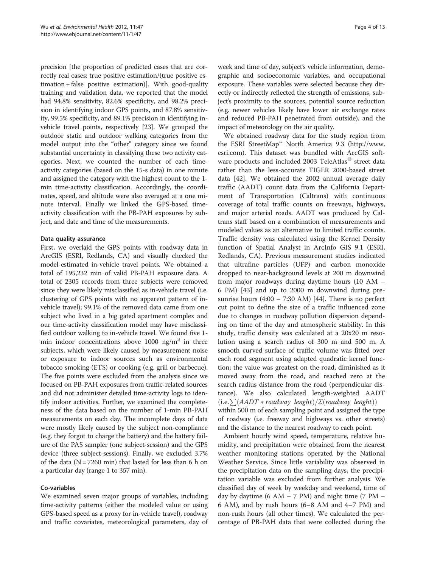precision [the proportion of predicted cases that are correctly real cases: true positive estimation/(true positive estimation + false positive estimation)]. With good-quality training and validation data, we reported that the model had 94.8% sensitivity, 82.6% specificity, and 98.2% precision in identifying indoor GPS points, and 87.8% sensitivity, 99.5% specificity, and 89.1% precision in identifying invehicle travel points, respectively [[23](#page-11-0)]. We grouped the outdoor static and outdoor walking categories from the model output into the "other" category since we found substantial uncertainty in classifying these two activity categories. Next, we counted the number of each timeactivity categories (based on the 15-s data) in one minute and assigned the category with the highest count to the 1 min time-activity classification. Accordingly, the coordinates, speed, and altitude were also averaged at a one minute interval. Finally we linked the GPS-based timeactivity classification with the PB-PAH exposures by subject, and date and time of the measurements.

## Data quality assurance

First, we overlaid the GPS points with roadway data in ArcGIS (ESRI, Redlands, CA) and visually checked the model-estimated in-vehicle travel points. We obtained a total of 195,232 min of valid PB-PAH exposure data. A total of 2305 records from three subjects were removed since they were likely misclassified as in-vehicle travel (i.e. clustering of GPS points with no apparent pattern of invehicle travel); 99.1% of the removed data came from one subject who lived in a big gated apartment complex and our time-activity classification model may have misclassified outdoor walking to in-vehicle travel. We found five 1 min indoor concentrations above 1000 ng/ $m<sup>3</sup>$  in three subjects, which were likely caused by measurement noise or exposure to indoor sources such as environmental tobacco smoking (ETS) or cooking (e.g. grill or barbecue). The five points were excluded from the analysis since we focused on PB-PAH exposures from traffic-related sources and did not administer detailed time-activity logs to identify indoor activities. Further, we examined the completeness of the data based on the number of 1-min PB-PAH measurements on each day. The incomplete days of data were mostly likely caused by the subject non-compliance (e.g. they forgot to charge the battery) and the battery failure of the PAS sampler (one subject-session) and the GPS device (three subject-sessions). Finally, we excluded 3.7% of the data ( $N = 7260$  min) that lasted for less than 6 h on a particular day (range 1 to 357 min).

#### Co-variables

We examined seven major groups of variables, including time-activity patterns (either the modeled value or using GPS-based speed as a proxy for in-vehicle travel), roadway and traffic covariates, meteorological parameters, day of

week and time of day, subject's vehicle information, demographic and socioeconomic variables, and occupational exposure. These variables were selected because they directly or indirectly reflected the strength of emissions, subject's proximity to the sources, potential source reduction (e.g. newer vehicles likely have lower air exchange rates and reduced PB-PAH penetrated from outside), and the impact of meteorology on the air quality.

We obtained roadway data for the study region from the ESRI StreetMap™ North America 9.3 ([http://www.](http://www.esri.com) [esri.com\)](http://www.esri.com). This dataset was bundled with ArcGIS software products and included 2003 TeleAtlas® street data rather than the less-accurate TIGER 2000-based street data [[42\]](#page-11-0). We obtained the 2002 annual average daily traffic (AADT) count data from the California Department of Transportation (Caltrans) with continuous coverage of total traffic counts on freeways, highways, and major arterial roads. AADT was produced by Caltrans staff based on a combination of measurements and modeled values as an alternative to limited traffic counts. Traffic density was calculated using the Kernel Density function of Spatial Analyst in ArcInfo GIS 9.1 (ESRI, Redlands, CA). Previous measurement studies indicated that ultrafine particles (UFP) and carbon monoxide dropped to near-background levels at 200 m downwind from major roadways during daytime hours (10 AM – 6 PM) [[43\]](#page-11-0) and up to 2000 m downwind during presunrise hours  $(4:00 - 7:30 \text{ AM})$  [\[44](#page-11-0)]. There is no perfect cut point to define the size of a traffic influenced zone due to changes in roadway pollution dispersion depending on time of the day and atmospheric stability. In this study, traffic density was calculated at a 20x20 m resolution using a search radius of 300 m and 500 m. A smooth curved surface of traffic volume was fitted over each road segment using adapted quadratic kernel function; the value was greatest on the road, diminished as it moved away from the road, and reached zero at the search radius distance from the road (perpendicular distance). We also calculated length-weighted AADT  $(i.e. \sum (AADT * roadway length) / \sum (roadway length))$ within 500 m of each sampling point and assigned the type of roadway (i.e. freeway and highways vs. other streets) and the distance to the nearest roadway to each point.

Ambient hourly wind speed, temperature, relative humidity, and precipitation were obtained from the nearest weather monitoring stations operated by the National Weather Service. Since little variability was observed in the precipitation data on the sampling days, the precipitation variable was excluded from further analysis. We classified day of week by weekday and weekend, time of day by daytime (6 AM  $-$  7 PM) and night time (7 PM  $-$ 6 AM), and by rush hours (6–8 AM and 4–7 PM) and non-rush hours (all other times). We calculated the percentage of PB-PAH data that were collected during the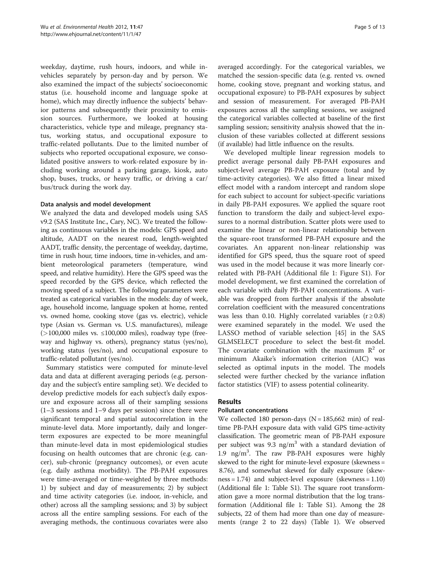weekday, daytime, rush hours, indoors, and while invehicles separately by person-day and by person. We also examined the impact of the subjects' socioeconomic status (i.e. household income and language spoke at home), which may directly influence the subjects' behavior patterns and subsequently their proximity to emission sources. Furthermore, we looked at housing characteristics, vehicle type and mileage, pregnancy status, working status, and occupational exposure to traffic-related pollutants. Due to the limited number of subjects who reported occupational exposure, we consolidated positive answers to work-related exposure by including working around a parking garage, kiosk, auto shop, buses, trucks, or heavy traffic, or driving a car/ bus/truck during the work day.

#### Data analysis and model development

We analyzed the data and developed models using SAS v9.2 (SAS Institute Inc., Cary, NC). We treated the following as continuous variables in the models: GPS speed and altitude, AADT on the nearest road, length-weighted AADT, traffic density, the percentage of weekday, daytime, time in rush hour, time indoors, time in-vehicles, and ambient meteorological parameters (temperature, wind speed, and relative humidity). Here the GPS speed was the speed recorded by the GPS device, which reflected the moving speed of a subject. The following parameters were treated as categorical variables in the models: day of week, age, household income, language spoken at home, rented vs. owned home, cooking stove (gas vs. electric), vehicle type (Asian vs. German vs. U.S. manufactures), mileage  $(>100,000$  miles vs. ≤100,000 miles), roadway type (freeway and highway vs. others), pregnancy status (yes/no), working status (yes/no), and occupational exposure to traffic-related pollutant (yes/no).

Summary statistics were computed for minute-level data and data at different averaging periods (e.g. personday and the subject's entire sampling set). We decided to develop predictive models for each subject's daily exposure and exposure across all of their sampling sessions (1–3 sessions and 1–9 days per session) since there were significant temporal and spatial autocorrelation in the minute-level data. More importantly, daily and longerterm exposures are expected to be more meaningful than minute-level data in most epidemiological studies focusing on health outcomes that are chronic (e.g. cancer), sub-chronic (pregnancy outcomes), or even acute (e.g. daily asthma morbidity). The PB-PAH exposures were time-averaged or time-weighted by three methods: 1) by subject and day of measurements; 2) by subject and time activity categories (i.e. indoor, in-vehicle, and other) across all the sampling sessions; and 3) by subject across all the entire sampling sessions. For each of the averaging methods, the continuous covariates were also

averaged accordingly. For the categorical variables, we matched the session-specific data (e.g. rented vs. owned home, cooking stove, pregnant and working status, and occupational exposure) to PB-PAH exposures by subject and session of measurement. For averaged PB-PAH exposures across all the sampling sessions, we assigned the categorical variables collected at baseline of the first sampling session; sensitivity analysis showed that the inclusion of these variables collected at different sessions (if available) had little influence on the results.

We developed multiple linear regression models to predict average personal daily PB-PAH exposures and subject-level average PB-PAH exposure (total and by time-activity categories). We also fitted a linear mixed effect model with a random intercept and random slope for each subject to account for subject-specific variations in daily PB-PAH exposures. We applied the square root function to transform the daily and subject-level exposures to a normal distribution. Scatter plots were used to examine the linear or non-linear relationship between the square-root transformed PB-PAH exposure and the covariates. An apparent non-linear relationship was identified for GPS speed, thus the square root of speed was used in the model because it was more linearly correlated with PB-PAH (Additional file [1](#page-10-0): Figure S1). For model development, we first examined the correlation of each variable with daily PB-PAH concentrations. A variable was dropped from further analysis if the absolute correlation coefficient with the measured concentrations was less than 0.10. Highly correlated variables ( $r \ge 0.8$ ) were examined separately in the model. We used the LASSO method of variable selection [[45\]](#page-11-0) in the SAS GLMSELECT procedure to select the best-fit model. The covariate combination with the maximum  $\mathbb{R}^2$  or minimum Akaike's information criterion (AIC) was selected as optimal inputs in the model. The models selected were further checked by the variance inflation factor statistics (VIF) to assess potential colinearity.

# Results

#### Pollutant concentrations

We collected 180 person-days  $(N = 185,662 \text{ min})$  of realtime PB-PAH exposure data with valid GPS time-activity classification. The geometric mean of PB-PAH exposure per subject was 9.3  $\text{ng/m}^3$  with a standard deviation of 1.9 ng/m3 . The raw PB-PAH exposures were highly skewed to the right for minute-level exposure (skewness = 8.76), and somewhat skewed for daily exposure (skewness = 1.74) and subject-level exposure (skewness = 1.10) (Additional file [1:](#page-10-0) Table S1). The square root transformation gave a more normal distribution that the log transformation (Additional file [1:](#page-10-0) Table S1). Among the 28 subjects, 22 of them had more than one day of measurements (range 2 to 22 days) (Table [1\)](#page-5-0). We observed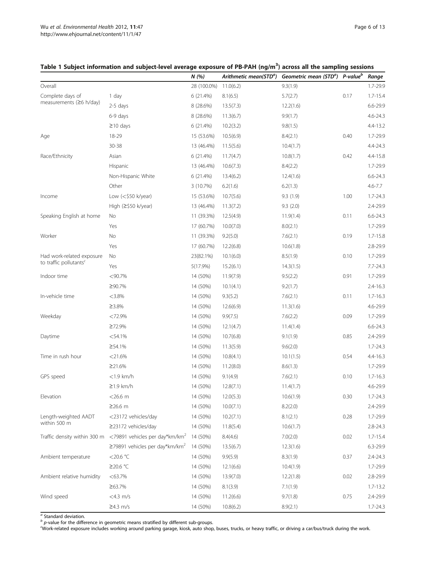# <span id="page-5-0"></span>Table 1 Subject information and subject-level average exposure of PB-PAH (ng/m<sup>3</sup>) across all the sampling sessions

|                                                    |                                                                               | N(%)        | Arithmetic mean(STD <sup>a</sup> ) | Geometric mean (STD <sup>a</sup> ) P-value <sup>b</sup> |      | Range        |
|----------------------------------------------------|-------------------------------------------------------------------------------|-------------|------------------------------------|---------------------------------------------------------|------|--------------|
| Overall                                            |                                                                               | 28 (100.0%) | 11.0(6.2)                          | 9.3(1.9)                                                |      | 1.7-29.9     |
| Complete days of<br>measurements ( $\geq$ 6 h/day) | 1 day                                                                         | 6 (21.4%)   | 8.1(6.5)                           | 5.7(2.7)                                                | 0.17 | $1.7 - 15.4$ |
|                                                    | 2-5 days                                                                      | 8 (28.6%)   | 13.5(7.3)                          | 12.2(1.6)                                               |      | 6.6-29.9     |
|                                                    | 6-9 days                                                                      | 8 (28.6%)   | 11.3(6.7)                          | 9.9(1.7)                                                |      | $4.6 - 24.3$ |
|                                                    | $\geq$ 10 days                                                                | 6(21.4%)    | 10.2(3.2)                          | 9.8(1.5)                                                |      | 4.4-13.2     |
| Age                                                | 18-29                                                                         | 15 (53.6%)  | 10.5(6.9)                          | 8.4(2.1)                                                | 0.40 | 1.7-29.9     |
|                                                    | 30-38                                                                         | 13 (46.4%)  | 11.5(5.6)                          | 10.4(1.7)                                               |      | 4.4-24.3     |
| Race/Ethnicity                                     | Asian                                                                         | 6(21.4%)    | 11.7(4.7)                          | 10.8(1.7)                                               | 0.42 | 4.4-15.8     |
|                                                    | Hispanic                                                                      | 13 (46.4%)  | 10.6(7.3)                          | 8.4(2.2)                                                |      | 1.7-29.9     |
|                                                    | Non-Hispanic White                                                            | 6(21.4%)    | 13.4(6.2)                          | 12.4(1.6)                                               |      | $6.6 - 24.3$ |
|                                                    | Other                                                                         | 3(10.7%)    | 6.2(1.6)                           | 6.2(1.3)                                                |      | $4.6 - 7.7$  |
| Income                                             | Low $(<$ \$50 k/year)                                                         | 15 (53.6%)  | 10.7(5.6)                          | 9.3(1.9)                                                | 1.00 | $1.7 - 24.3$ |
|                                                    | High $(\geq$ \$50 k/year)                                                     | 13 (46.4%)  | 11.3(7.2)                          | 9.3(2.0)                                                |      | 2.4-29.9     |
| Speaking English at home                           | No                                                                            | 11 (39.3%)  | 12.5(4.9)                          | 11.9(1.4)                                               | 0.11 | $6.6 - 24.3$ |
|                                                    | Yes                                                                           | 17 (60.7%)  | 10.0(7.0)                          | 8.0(2.1)                                                |      | 1.7-29.9     |
| Worker                                             | No                                                                            | 11 (39.3%)  | 9.2(5.0)                           | 7.6(2.1)                                                | 0.19 | $1.7 - 15.8$ |
|                                                    | Yes                                                                           | 17 (60.7%)  | 12.2(6.8)                          | 10.6(1.8)                                               |      | 2.8-29.9     |
| Had work-related exposure                          | No                                                                            | 23(82.1%)   | 10.1(6.0)                          | 8.5(1.9)                                                | 0.10 | 1.7-29.9     |
| to traffic pollutants <sup>c</sup>                 | Yes                                                                           | 5(17.9%)    | 15.2(6.1)                          | 14.3(1.5)                                               |      | $7.7 - 24.3$ |
| Indoor time                                        | < 90.7%                                                                       | 14 (50%)    | 11.9(7.9)                          | 9.5(2.2)                                                | 0.91 | 1.7-29.9     |
|                                                    | ≥90.7%                                                                        | 14 (50%)    | 10.1(4.1)                          | 9.2(1.7)                                                |      | $2.4 - 16.3$ |
| In-vehicle time                                    | $<3.8\%$                                                                      | 14 (50%)    | 9.3(5.2)                           | 7.6(2.1)                                                | 0.11 | $1.7 - 16.3$ |
|                                                    | 23.8%                                                                         | 14 (50%)    | 12.6(6.9)                          | 11.3(1.6)                                               |      | 4.6-29.9     |
| Weekday                                            | <72.9%                                                                        | 14 (50%)    | 9.9(7.5)                           | 7.6(2.2)                                                | 0.09 | 1.7-29.9     |
|                                                    | ≥72.9%                                                                        | 14 (50%)    | 12.1(4.7)                          | 11.4(1.4)                                               |      | $6.6 - 24.3$ |
| Daytime                                            | $<$ 54.1%                                                                     | 14 (50%)    | 10.7(6.8)                          | 9.1(1.9)                                                | 0.85 | 2.4-29.9     |
|                                                    | ≥54.1%                                                                        | 14 (50%)    | 11.3(5.9)                          | 9.6(2.0)                                                |      | $1.7 - 24.3$ |
| Time in rush hour                                  | $<$ 21.6%                                                                     | 14 (50%)    | 10.8(4.1)                          | 10.1(1.5)                                               | 0.54 | 4.4-16.3     |
|                                                    | ≥21.6%                                                                        | 14 (50%)    | 11.2(8.0)                          | 8.6(1.3)                                                |      | 1.7-29.9     |
| GPS speed                                          | $<$ 1.9 km/h                                                                  | 14 (50%)    | 9.1(4.9)                           | 7.6(2.1)                                                | 0.10 | $1.7 - 16.3$ |
|                                                    | $\geq$ 1.9 km/h                                                               | 14 (50%)    | 12.8(7.1)                          | 11.4(1.7)                                               |      | 4.6-29.9     |
| Elevation                                          | $<$ 26.6 $m$                                                                  | 14 (50%)    | 12.0(5.3)                          | 10.6(1.9)                                               | 0.30 | $1.7 - 24.3$ |
|                                                    | $≥26.6$ m                                                                     | 14 (50%)    | 10.0(7.1)                          | 8.2(2.0)                                                |      | 2.4-29.9     |
| Length-weighted AADT                               | <23172 vehicles/day                                                           | 14 (50%)    | 10.2(7.1)                          | 8.1(2.1)                                                | 0.28 | 1.7-29.9     |
| within 500 m                                       | ≥23172 vehicles/day                                                           | 14 (50%)    | 11.8(5.4)                          | 10.6(1.7)                                               |      | $2.8 - 24.3$ |
|                                                    | Traffic density within 300 m $\leq$ 79891 vehicles per day*km/km <sup>2</sup> | 14 (50%)    | 8.4(4.6)                           | 7.0(2.0)                                                | 0.02 | $1.7 - 15.4$ |
|                                                    | $\geq$ 79891 vehicles per day*km/km <sup>2</sup>                              | 14 (50%)    | 13.5(6.7)                          | 12.3(1.6)                                               |      | $6.3 - 29.9$ |
| Ambient temperature                                | <20.6 $°C$                                                                    | 14 (50%)    | 9.9(5.9)                           | 8.3(1.9)                                                | 0.37 | 2.4-24.3     |
|                                                    | ≥20.6 °C                                                                      | 14 (50%)    | 12.1(6.6)                          | 10.4(1.9)                                               |      | 1.7-29.9     |
| Ambient relative humidity                          | $<$ 63.7%                                                                     | 14 (50%)    | 13.9(7.0)                          | 12.2(1.8)                                               | 0.02 | 2.8-29.9     |
|                                                    | $\geq 63.7\%$                                                                 | 14 (50%)    | 8.1(3.9)                           | 7.1(1.9)                                                |      | $1.7 - 13.2$ |
| Wind speed                                         | $<$ 4.3 m/s                                                                   | 14 (50%)    | 11.2(6.6)                          | 9.7(1.8)                                                | 0.75 | 2.4-29.9     |
|                                                    | $\geq$ 4.3 m/s                                                                | 14 (50%)    | 10.8(6.2)                          | 8.9(2.1)                                                |      | $1.7 - 24.3$ |

<sup>a</sup> Standard deviation.

 $b<sup>b</sup>$  p-value for the difference in geometric means stratified by different sub-groups.<br>Work-related exposure includes working around parking garage, kinsk auto short

Work-related exposure includes working around parking garage, kiosk, auto shop, buses, trucks, or heavy traffic, or driving a car/bus/truck during the work.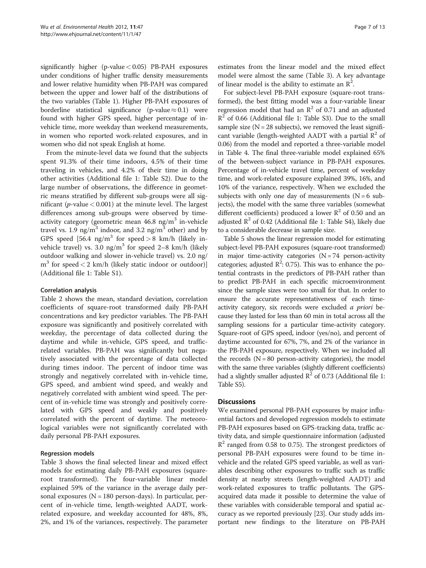significantly higher (p-value  $< 0.05$ ) PB-PAH exposures under conditions of higher traffic density measurements and lower relative humidity when PB-PAH was compared between the upper and lower half of the distributions of the two variables (Table [1](#page-5-0)). Higher PB-PAH exposures of borderline statistical significance (p-value  $\approx 0.1$ ) were found with higher GPS speed, higher percentage of invehicle time, more weekday than weekend measurements, in women who reported work-related exposures, and in women who did not speak English at home.

From the minute-level data we found that the subjects spent 91.3% of their time indoors, 4.5% of their time traveling in vehicles, and 4.2% of their time in doing other activities (Additional file [1](#page-10-0): Table S2). Due to the large number of observations, the difference in geometric means stratified by different sub-groups were all significant ( $p$ -value  $< 0.001$ ) at the minute level. The largest differences among sub-groups were observed by timeactivity category (geometric mean  $46.8 \text{ ng/m}^3$  in-vehicle travel vs. 1.9 ng/m<sup>3</sup> indoor, and 3.2 ng/m<sup>3</sup> other) and by GPS speed  $[56.4 \text{ ng/m}^3 \text{ for speed} > 8 \text{ km/h}$  (likely invehicle travel) vs. 3.0 ng/ $m^3$  for speed 2–8 km/h (likely outdoor walking and slower in-vehicle travel) vs. 2.0 ng/  $m<sup>3</sup>$  for speed < 2 km/h (likely static indoor or outdoor)] (Additional file [1](#page-10-0): Table S1).

#### Correlation analysis

Table [2](#page-7-0) shows the mean, standard deviation, correlation coefficients of square-root transformed daily PB-PAH concentrations and key predictor variables. The PB-PAH exposure was significantly and positively correlated with weekday, the percentage of data collected during the daytime and while in-vehicle, GPS speed, and trafficrelated variables. PB-PAH was significantly but negatively associated with the percentage of data collected during times indoor. The percent of indoor time was strongly and negatively correlated with in-vehicle time, GPS speed, and ambient wind speed, and weakly and negatively correlated with ambient wind speed. The percent of in-vehicle time was strongly and positively correlated with GPS speed and weakly and positively correlated with the percent of daytime. The meteorological variables were not significantly correlated with daily personal PB-PAH exposures.

#### Regression models

Table [3](#page-8-0) shows the final selected linear and mixed effect models for estimating daily PB-PAH exposures (squareroot transformed). The four-variable linear model explained 59% of the variance in the average daily personal exposures ( $N = 180$  person-days). In particular, percent of in-vehicle time, length-weighted AADT, workrelated exposure, and weekday accounted for 48%, 8%, 2%, and 1% of the variances, respectively. The parameter estimates from the linear model and the mixed effect model were almost the same (Table [3\)](#page-8-0). A key advantage of linear model is the ability to estimate an  $\mathbb{R}^2$ .

For subject-level PB-PAH exposure (square-root transformed), the best fitting model was a four-variable linear regression model that had an  $R^2$  of 0.71 and an adjusted  $R<sup>2</sup>$  of 0.66 (Additional file [1](#page-10-0): Table S3). Due to the small sample size  $(N = 28$  subjects), we removed the least significant variable (length-weighted AADT with a partial  $\mathbb{R}^2$  of 0.06) from the model and reported a three-variable model in Table [4](#page-8-0). The final three-variable model explained 65% of the between-subject variance in PB-PAH exposures. Percentage of in-vehicle travel time, percent of weekday time, and work-related exposure explained 39%, 16%, and 10% of the variance, respectively. When we excluded the subjects with only one day of measurements  $(N = 6$  subjects), the model with the same three variables (somewhat different coefficients) produced a lower  $\mathbb{R}^2$  of 0.50 and an adjusted  $\mathbb{R}^2$  of 0.42 (Additional file [1](#page-10-0): Table S4), likely due to a considerable decrease in sample size.

Table [5](#page-8-0) shows the linear regression model for estimating subject-level PB-PAH exposures (square-root transformed) in major time-activity categories  $(N = 74$  person-activity categories; adjusted  $\mathbb{R}^2$ : 0.75). This was to enhance the potential contrasts in the predictors of PB-PAH rather than to predict PB-PAH in each specific microenvironment since the sample sizes were too small for that. In order to ensure the accurate representativeness of each timeactivity category, six records were excluded a priori because they lasted for less than 60 min in total across all the sampling sessions for a particular time-activity category. Square-root of GPS speed, indoor (yes/no), and percent of daytime accounted for 67%, 7%, and 2% of the variance in the PB-PAH exposure, respectively. When we included all the records  $(N = 80$  person-activity categories), the model with the same three variables (slightly different coefficients) had a slightly smaller adjusted  $\mathbb{R}^2$  of 0.73 (Additional file [1](#page-10-0): Table S5).

# **Discussions**

We examined personal PB-PAH exposures by major influential factors and developed regression models to estimate PB-PAH exposures based on GPS-tracking data, traffic activity data, and simple questionnaire information (adjusted  $R<sup>2</sup>$  ranged from 0.58 to 0.75). The strongest predictors of personal PB-PAH exposures were found to be time invehicle and the related GPS speed variable, as well as variables describing other exposures to traffic such as traffic density at nearby streets (length-weighted AADT) and work-related exposures to traffic pollutants. The GPSacquired data made it possible to determine the value of these variables with considerable temporal and spatial accuracy as we reported previously [\[23\]](#page-11-0). Our study adds important new findings to the literature on PB-PAH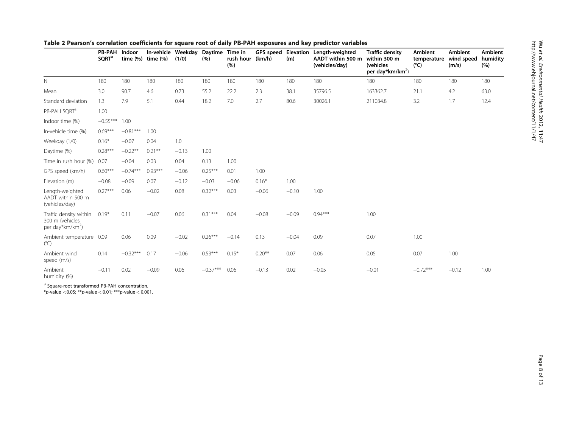|                                                                           | <b>PB-PAH</b><br><b>SQRT<sup>a</sup></b> | Indoor<br>time $(%)$ | In-vehicle Weekday<br>time (%) | (1/0)   | <b>Daytime</b><br>(%) | Time in<br>rush hour (km/h)<br>(%) | GPS speed | Elevation<br>(m) | Length-weighted<br>AADT within 500 m<br>(vehicles/day) | <b>Traffic density</b><br>within 300 m<br>(vehicles<br>per day*km/km <sup>2</sup> ) | <b>Ambient</b><br>temperature<br>$(^{\circ}C)$ | <b>Ambient</b><br>wind speed<br>(m/s) | <b>Ambient</b><br>humidity<br>(%) |
|---------------------------------------------------------------------------|------------------------------------------|----------------------|--------------------------------|---------|-----------------------|------------------------------------|-----------|------------------|--------------------------------------------------------|-------------------------------------------------------------------------------------|------------------------------------------------|---------------------------------------|-----------------------------------|
| N.                                                                        | 180                                      | 180                  | 180                            | 180     | 180                   | 180                                | 180       | 180              | 180                                                    | 180                                                                                 | 180                                            | 180                                   | 180                               |
| Mean                                                                      | 3.0                                      | 90.7                 | 4.6                            | 0.73    | 55.2                  | 22.2                               | 2.3       | 38.1             | 35796.5                                                | 163362.7                                                                            | 21.1                                           | 4.2                                   | 63.0                              |
| Standard deviation                                                        | 1.3                                      | 7.9                  | 5.1                            | 0.44    | 18.2                  | 7.0                                | 2.7       | 80.6             | 30026.1                                                | 211034.8                                                                            | 3.2                                            | 1.7                                   | 12.4                              |
| PB-PAH SQRT <sup>a</sup>                                                  | 1.00                                     |                      |                                |         |                       |                                    |           |                  |                                                        |                                                                                     |                                                |                                       |                                   |
| Indoor time (%)                                                           | $-0.55***$                               | 1.00                 |                                |         |                       |                                    |           |                  |                                                        |                                                                                     |                                                |                                       |                                   |
| In-vehicle time (%)                                                       | $0.69***$                                | $-0.81***$           | 1.00                           |         |                       |                                    |           |                  |                                                        |                                                                                     |                                                |                                       |                                   |
| Weekday (1/0)                                                             | $0.16*$                                  | $-0.07$              | 0.04                           | 1.0     |                       |                                    |           |                  |                                                        |                                                                                     |                                                |                                       |                                   |
| Daytime (%)                                                               | $0.28***$                                | $-0.22**$            | $0.21***$                      | $-0.13$ | 1.00                  |                                    |           |                  |                                                        |                                                                                     |                                                |                                       |                                   |
| Time in rush hour (%)                                                     | 0.07                                     | $-0.04$              | 0.03                           | 0.04    | 0.13                  | 1.00                               |           |                  |                                                        |                                                                                     |                                                |                                       |                                   |
| GPS speed (km/h)                                                          | $0.60***$                                | $-0.74***$           | $0.93***$                      | $-0.06$ | $0.25***$             | 0.01                               | 1.00      |                  |                                                        |                                                                                     |                                                |                                       |                                   |
| Elevation (m)                                                             | $-0.08$                                  | $-0.09$              | 0.07                           | $-0.12$ | $-0.03$               | $-0.06$                            | $0.16*$   | 1.00             |                                                        |                                                                                     |                                                |                                       |                                   |
| Length-weighted<br>AADT within 500 m<br>(vehicles/day)                    | $0.27***$                                | 0.06                 | $-0.02$                        | 0.08    | $0.32***$             | 0.03                               | $-0.06$   | $-0.10$          | 1.00                                                   |                                                                                     |                                                |                                       |                                   |
| Traffic density within<br>300 m (vehicles<br>per day*km/km <sup>2</sup> ) | $0.19*$                                  | 0.11                 | $-0.07$                        | 0.06    | $0.31***$             | 0.04                               | $-0.08$   | $-0.09$          | $0.94***$                                              | 1.00                                                                                |                                                |                                       |                                   |
| Ambient temperature 0.09<br>$(^{\circ}C)$                                 |                                          | 0.06                 | 0.09                           | $-0.02$ | $0.26***$             | $-0.14$                            | 0.13      | $-0.04$          | 0.09                                                   | 0.07                                                                                | 1.00                                           |                                       |                                   |
| Ambient wind<br>speed (m/s)                                               | 0.14                                     | $-0.32***$           | 0.17                           | $-0.06$ | $0.53***$             | $0.15*$                            | $0.20**$  | 0.07             | 0.06                                                   | 0.05                                                                                | 0.07                                           | 1.00                                  |                                   |
| Ambient<br>humidity (%)                                                   | $-0.11$                                  | 0.02                 | $-0.09$                        | 0.06    | $-0.37***$            | 0.06                               | $-0.13$   | 0.02             | $-0.05$                                                | $-0.01$                                                                             | $-0.72***$                                     | $-0.12$                               | 1.00                              |

# <span id="page-7-0"></span>Table 2 Pearson's correlation coefficients for square root of daily PB-PAH exposures and key predictor variables

 $a<sub>a</sub>$  Square-root transformed PB-PAH concentration.

\*p-value  $<$  0.05; \*\*p-value  $<$  0.01; \*\*\*p-value  $<$  0.001.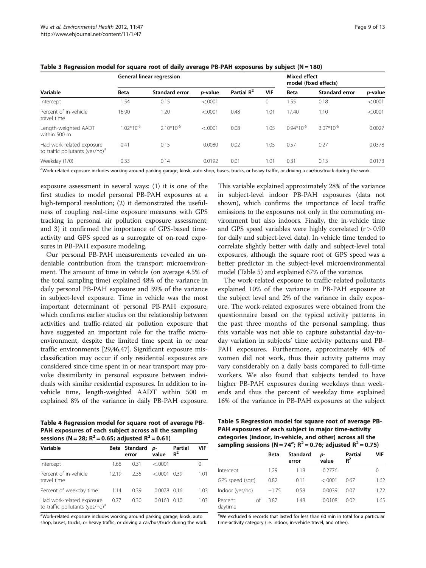|                                                                 |                | General linear regression | Mixed effect<br>model (fixed effects) |                        |            |                |                       |         |
|-----------------------------------------------------------------|----------------|---------------------------|---------------------------------------|------------------------|------------|----------------|-----------------------|---------|
| Variable                                                        | <b>Beta</b>    | <b>Standard error</b>     | p-value                               | Partial R <sup>2</sup> | <b>VIF</b> | <b>Beta</b>    | <b>Standard error</b> | p-value |
| Intercept                                                       | 1.54           | 0.15                      | < .0001                               |                        | 0          | 1.55           | 0.18                  | < .0001 |
| Percent of in-vehicle<br>travel time                            | 16.90          | 1.20                      | < .0001                               | 0.48                   | 1.01       | 17.40          | 1.10                  | < .0001 |
| Length-weighted AADT<br>within 500 m                            | $1.02*10^{-5}$ | $2.10*10^{-6}$            | < 0.0001                              | 0.08                   | 1.05       | $0.94*10^{-5}$ | $3.07*10^{-6}$        | 0.0027  |
| Had work-related exposure<br>to traffic pollutants (yes/no) $a$ | 0.41           | 0.15                      | 0.0080                                | 0.02                   | 1.05       | 0.57           | 0.27                  | 0.0378  |
| Weekday (1/0)                                                   | 0.33           | 0.14                      | 0.0192                                | 0.01                   | 1.01       | 0.31           | 0.13                  | 0.0173  |

<span id="page-8-0"></span>Table 3 Regression model for square root of daily average PB-PAH exposures by subject  $(N = 180)$ 

a<br>Work-related exposure includes working around parking garage, kiosk, auto shop, buses, trucks, or heavy traffic, or driving a car/bus/truck during the work.

exposure assessment in several ways: (1) it is one of the first studies to model personal PB-PAH exposures at a high-temporal resolution; (2) it demonstrated the usefulness of coupling real-time exposure measures with GPS tracking in personal air pollution exposure assessment; and 3) it confirmed the importance of GPS-based timeactivity and GPS speed as a surrogate of on-road exposures in PB-PAH exposure modeling.

Our personal PB-PAH measurements revealed an undeniable contribution from the transport microenvironment. The amount of time in vehicle (on average 4.5% of the total sampling time) explained 48% of the variance in daily personal PB-PAH exposure and 39% of the variance in subject-level exposure. Time in vehicle was the most important determinant of personal PB-PAH exposure, which confirms earlier studies on the relationship between activities and traffic-related air pollution exposure that have suggested an important role for the traffic microenvironment, despite the limited time spent in or near traffic environments [\[29,46,47](#page-11-0)]. Significant exposure misclassification may occur if only residential exposures are considered since time spent in or near transport may provoke dissimilarity in personal exposure between individuals with similar residential exposures. In addition to invehicle time, length-weighted AADT within 500 m explained 8% of the variance in daily PB-PAH exposure. This variable explained approximately 28% of the variance in subject-level indoor PB-PAH exposures (data not shown), which confirms the importance of local traffic emissions to the exposures not only in the commuting environment but also indoors. Finally, the in-vehicle time and GPS speed variables were highly correlated  $(r > 0.90)$ for daily and subject-level data). In-vehicle time tended to correlate slightly better with daily and subject-level total exposures, although the square root of GPS speed was a better predictor in the subject-level microenvironmental model (Table 5) and explained 67% of the variance.

The work-related exposure to traffic-related pollutants explained 10% of the variance in PB-PAH exposure at the subject level and 2% of the variance in daily exposure. The work-related exposures were obtained from the questionnaire based on the typical activity patterns in the past three months of the personal sampling, thus this variable was not able to capture substantial day-today variation in subjects' time activity patterns and PB-PAH exposures. Furthermore, approximately 40% of women did not work, thus their activity patterns may vary considerably on a daily basis compared to full-time workers. We also found that subjects tended to have higher PB-PAH exposures during weekdays than weekends and thus the percent of weekday time explained 16% of the variance in PB-PAH exposures at the subject

Table 4 Regression model for square root of average PB-PAH exposures of each subject across all the sampling  $(N - 28; R^2 - 0.65;$  adjusted  $R^2 - 0.61$ 

| Sessions ( $N = 28$ ; $N = 0.05$ ; agjusted $N = 0.01$ )        |       |                        |               |                  |                  |  |  |  |  |
|-----------------------------------------------------------------|-------|------------------------|---------------|------------------|------------------|--|--|--|--|
| Variable                                                        |       | Beta Standard<br>error | D-<br>value   | Partial<br>$R^2$ | VIF              |  |  |  |  |
| Intercept                                                       | 1.68  | 0.31                   | < 0.001       |                  | $\left( \right)$ |  |  |  |  |
| Percent of in-vehicle<br>travel time                            | 12.19 | 2.35                   | < 0.001       | 0.39             | 1.01             |  |  |  |  |
| Percent of weekday time                                         | 1.14  | 0.39                   | $0.0078$ 0.16 |                  | 1.03             |  |  |  |  |
| Had work-related exposure<br>to traffic pollutants (yes/no) $a$ | 0.77  | 0.30                   | 0.0163        | -0.10            | 1.03             |  |  |  |  |

<sup>a</sup>Work-related exposure includes working around parking garage, kiosk, auto shop, buses, trucks, or heavy traffic, or driving a car/bus/truck during the work. Table 5 Regression model for square root of average PB-PAH exposures of each subject in major time-activity categories (indoor, in-vehicle, and other) across all the sampling sessions (N = 74<sup>a</sup>; R<sup>2</sup> = 0.76; adjusted R<sup>2</sup> = 0.75)

|                    |    | Beta    | Standard<br>error | D-<br>value | Partial<br>$R^2$ | VIF  |  |  |  |
|--------------------|----|---------|-------------------|-------------|------------------|------|--|--|--|
| Intercept          |    | 1.29    | 1.18              | 0.2776      |                  | 0    |  |  |  |
| GPS speed (sgrt)   |    | 0.82    | 0.11              | < .0001     | 0.67             | 1.62 |  |  |  |
| Indoor (yes/no)    |    | $-1.75$ | 0.58              | 0.0039      | 0.07             | 1.72 |  |  |  |
| Percent<br>daytime | of | 3.87    | 1.48              | 0.0108      | 0.02             | 1.65 |  |  |  |

<sup>a</sup>We excluded 6 records that lasted for less than 60 min in total for a particular time-activity category (i.e. indoor, in-vehicle travel, and other).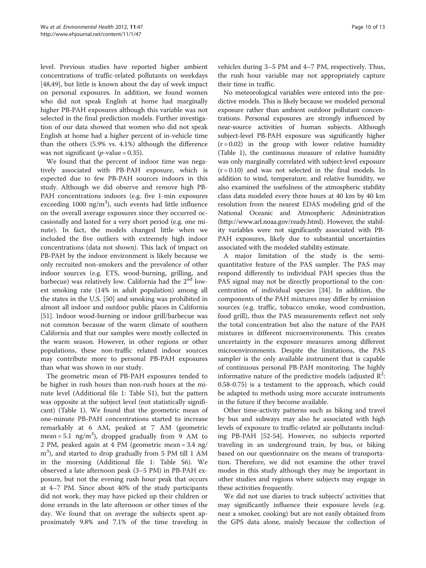level. Previous studies have reported higher ambient concentrations of traffic-related pollutants on weekdays [[48,49\]](#page-11-0), but little is known about the day of week impact on personal exposures. In addition, we found women who did not speak English at home had marginally higher PB-PAH exposures although this variable was not selected in the final prediction models. Further investigation of our data showed that women who did not speak English at home had a higher percent of in-vehicle time than the others (5.9% vs. 4.1%) although the difference was not significant ( $p$ -value = 0.35).

We found that the percent of indoor time was negatively associated with PB-PAH exposure, which is expected due to few PB-PAH sources indoors in this study. Although we did observe and remove high PB-PAH concentrations indoors (e.g. five 1-min exposures exceeding 1000  $\text{ng/m}^3$ ), such events had little influence on the overall average exposures since they occurred occasionally and lasted for a very short period (e.g. one minute). In fact, the models changed little when we included the five outliers with extremely high indoor concentrations (data not shown). This lack of impact on PB-PAH by the indoor environment is likely because we only recruited non-smokers and the prevalence of other indoor sources (e.g. ETS, wood-burning, grilling, and barbecue) was relatively low. California had the  $2<sup>nd</sup>$  lowest smoking rate (14% in adult population) among all the states in the U.S. [[50](#page-11-0)] and smoking was prohibited in almost all indoor and outdoor public places in California [[51\]](#page-11-0). Indoor wood-burning or indoor grill/barbecue was not common because of the warm climate of southern California and that our samples were mostly collected in the warm season. However, in other regions or other populations, these non-traffic related indoor sources may contribute more to personal PB-PAH exposures than what was shown in our study.

The geometric mean of PB-PAH exposures tended to be higher in rush hours than non-rush hours at the minute level (Additional file [1](#page-10-0): Table S1), but the pattern was opposite at the subject level (not statistically significant) (Table [1](#page-5-0)). We found that the geometric mean of one-minute PB-PAH concentrations started to increase remarkably at 6 AM, peaked at 7 AM (geometric mean = 5.1  $\text{ng/m}^3$ ), dropped gradually from 9 AM to 2 PM, peaked again at 4 PM (geometric mean = 3.4 ng/ m<sup>3</sup>), and started to drop gradually from 5 PM till 1 AM in the morning (Additional file [1](#page-10-0): Table S6). We observed a late afternoon peak (3–5 PM) in PB-PAH exposure, but not the evening rush hour peak that occurs at 4–7 PM. Since about 40% of the study participants did not work, they may have picked up their children or done errands in the late afternoon or other times of the day. We found that on average the subjects spent approximately 9.8% and 7.1% of the time traveling in vehicles during 3–5 PM and 4–7 PM, respectively. Thus, the rush hour variable may not appropriately capture their time in traffic.

No meteorological variables were entered into the predictive models. This is likely because we modeled personal exposure rather than ambient outdoor pollutant concentrations. Personal exposures are strongly influenced by near-source activities of human subjects. Although subject-level PB-PAH exposure was significantly higher  $(r = 0.02)$  in the group with lower relative humidity (Table [1](#page-5-0)), the continuous measure of relative humidity was only marginally correlated with subject-level exposure  $(r = 0.10)$  and was not selected in the final models. In addition to wind, temperature, and relative humidity, we also examined the usefulness of the atmospheric stability class data modeled every three hours at 40 km by 40 km resolution from the nearest EDAS modeling grid of the National Oceanic and Atmospheric Administration ([http://www.arl.noaa.gov/ready.html\)](http://www.arl.noaa.gov/ready.html). However, the stability variables were not significantly associated with PB-PAH exposures, likely due to substantial uncertainties associated with the modeled stability estimate.

A major limitation of the study is the semiquantitative feature of the PAS sampler. The PAS may respond differently to individual PAH species thus the PAS signal may not be directly proportional to the concentration of individual species [\[34\]](#page-11-0). In addition, the components of the PAH mixtures may differ by emission sources (e.g. traffic, tobacco smoke, wood combustion, food grill), thus the PAS measurements reflect not only the total concentration but also the nature of the PAH mixtures in different microenvironments. This creates uncertainty in the exposure measures among different microenvironments. Despite the limitations, the PAS sampler is the only available instrument that is capable of continuous personal PB-PAH monitoring. The highly informative nature of the predictive models (adjusted  $R^2$ : 0.58-0.75) is a testament to the approach, which could be adapted to methods using more accurate instruments in the future if they become available.

Other time-activity patterns such as biking and travel by bus and subways may also be associated with high levels of exposure to traffic-related air pollutants including PB-PAH [\[52](#page-11-0)[-54](#page-12-0)]. However, no subjects reported traveling in an underground train, by bus, or biking based on our questionnaire on the means of transportation. Therefore, we did not examine the other travel modes in this study although they may be important in other studies and regions where subjects may engage in these activities frequently.

We did not use diaries to track subjects' activities that may significantly influence their exposure levels (e.g. near a smoker, cooking) but are not easily obtained from the GPS data alone, mainly because the collection of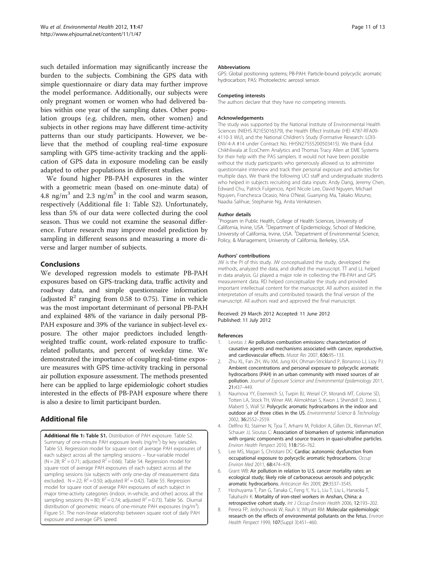<span id="page-10-0"></span>such detailed information may significantly increase the burden to the subjects. Combining the GPS data with simple questionnaire or diary data may further improve the model performance. Additionally, our subjects were only pregnant women or women who had delivered babies within one year of the sampling dates. Other population groups (e.g. children, men, other women) and subjects in other regions may have different time-activity patterns than our study participants. However, we believe that the method of coupling real-time exposure sampling with GPS time-activity tracking and the application of GPS data in exposure modeling can be easily adapted to other populations in different studies.

We found higher PB-PAH exposures in the winter with a geometric mean (based on one-minute data) of 4.8 ng/m<sup>3</sup> and 2.3 ng/m<sup>3</sup> in the cool and warm season, respectively (Additional file 1: Table S2). Unfortunately, less than 5% of our data were collected during the cool season. Thus we could not examine the seasonal difference. Future research may improve model prediction by sampling in different seasons and measuring a more diverse and larger number of subjects.

# Conclusions

We developed regression models to estimate PB-PAH exposures based on GPS-tracking data, traffic activity and roadway data, and simple questionnaire information (adjusted  $\mathbb{R}^2$  ranging from 0.58 to 0.75). Time in vehicle was the most important determinant of personal PB-PAH and explained 48% of the variance in daily personal PB-PAH exposure and 39% of the variance in subject-level exposure. The other major predictors included lengthweighted traffic count, work-related exposure to trafficrelated pollutants, and percent of weekday time. We demonstrated the importance of coupling real-time exposure measures with GPS time-activity tracking in personal air pollution exposure assessment. The methods presented here can be applied to large epidemiologic cohort studies interested in the effects of PB-PAH exposure where there is also a desire to limit participant burden.

# Additional file

[Additional file 1:](http://www.biomedcentral.com/content/supplementary/1476-069X-11-47-S1.doc) Table S1. Distribution of PAH exposure. Table S2. Summary of one-minute PAH exposure levels (ng/m<sup>3</sup>) by key variables. Table S3. Regression model for square root of average PAH exposures of each subject across all the sampling sessions – four-variable model (N = 28;  $R^2$  = 0.71; adjusted  $R^2$  = 0.66). Table S4. Regression model for square root of average PAH exposures of each subject across all the sampling sessions (six subjects with only one-day of measurement data excluded. N = 22;  $R^2$  = 0.50; adjusted  $R^2$  = 0.42). Table S5. Regression model for square root of average PAH exposures of each subject in major time-activity categories (indoor, in-vehicle, and other) across all the sampling sessions (N = 80;  $R^2$  = 0.74; adjusted  $R^2$  = 0.73). Table S6. Diurnal distribution of geometric means of one-minute PAH exposures (ng/m<sup>3</sup>). Figure S1. The non-linear relationship between square root of daily PAH exposure and average GPS speed.

#### Abbreviations

GPS: Global positioning systems; PB-PAH: Particle-bound polycyclic aromatic hydrocarbon; PAS: Photoelectric aerosol sensor.

#### Competing interests

The authors declare that they have no competing interests.

#### Acknowledgements

The study was supported by the National Institute of Environmental Health Sciences (NIEHS R21ES016379), the Health Effect Institute (HEI 4787-RFA09- 4110-3 WU), and the National Children's Study (Formative Research: LOI3- ENV-4-A #14 under Contract No. HHSN27555200503415). We thank Edul Chikhliwala at EcoChem Analytics and Thomas Tracy Allen at EME Systems for their help with the PAS samplers. It would not have been possible without the study participants who generously allowed us to administer questionnaire interview and track their personal exposure and activities for multiple days. We thank the following UCI staff and undergraduate students who helped in subjects recruiting and data inputs: Andy Dang, Jeremy Chen, Edward Chu, Patrick Fulgencio, April Nicole Lee, David Nguyen, Michael Nguyen, Franchesca Ocasio, Nina O'Neal, Guanying Ma, Takako Mizuno, Naadia Salihue, Stephanie Ng, Anita Venkatesen.

#### Author details

<sup>1</sup> Program in Public Health, College of Health Sciences, University of California, Irvine, USA. <sup>2</sup>Department of Epidemiology, School of Medicine University of California, Irvine, USA. <sup>3</sup>Department of Environmental Science, Policy, & Management, University of California, Berkeley, USA.

#### Authors' contributions

JW is the PI of this study. JW conceptualized the study, developed the methods, analyzed the data, and drafted the manuscript. TT and LL helped in data analysis. GJ played a major role in collecting the PB-PAH and GPS measurement data. RD helped conceptualize the study and provided important intellectual content for the manuscript. All authors assisted in the interpretation of results and contributed towards the final version of the manuscript. All authors read and approved the final manuscript.

#### Received: 29 March 2012 Accepted: 11 June 2012 Published: 11 July 2012

#### References

- 1. Lewtas J: Air pollution combustion emissions: characterization of causative agents and mechanisms associated with cancer, reproductive, and cardiovascular effects. Mutat Res 2007, 636:95–133.
- 2. Zhu XL, Fan ZH, Wu XM, Jung KH, Ohman-Strickland P, Bonanno LJ, Lioy PJ: Ambient concentrations and personal exposure to polycyclic aromatic hydrocarbons (PAH) in an urban community with mixed sources of air pollution. Journal of Exposure Science and Environmental Epidemiology 2011, 21:437–449.
- 3. Naumova YY, Eisenreich SJ, Turpin BJ, Weisel CP, Morandi MT, Colome SD, Totten LA, Stock TH, Winer AM, Alimokhtari S, Kwon J, Shendell D, Jones J, Maberti S, Wall SJ: Polycyclic aromatic hydrocarbons in the indoor and outdoor air of three cities in the US. Environmental Science & Technology 2002, 36:2552–2559.
- 4. Delfino RJ, Staimer N, Tjoa T, Arhami M, Polidori A, Gillen DL, Kleinman MT, Schauer JJ, Sioutas C: Association of biomarkers of systemic inflammation with organic components and source tracers in quasi-ultrafine particles. Environ Health Perspect 2010, 118:756–762.
- 5. Lee MS, Magari S, Christiani DC: Cardiac autonomic dysfunction from occupational exposure to polycyclic aromatic hydrocarbons. Occup Environ Med 2011, 68:474–478.
- Grant WB: Air pollution in relation to U.S. cancer mortality rates: an ecological study; likely role of carbonaceous aerosols and polycyclic aromatic hydrocarbons. Anticancer Res 2009, 29:3537–3545.
- 7. Hoshuyama T, Pan G, Tanaka C, Feng Y, Yu L, Liu T, Liu L, Hanaoka T, Takahashi K: Mortality of iron-steel workers in Anshan, China: a retrospective cohort study. Int J Occup Environ Health 2006, 12:193–202.
- 8. Perera FP, Jedrychowski W, Rauh V, Whyatt RM: Molecular epidemiologic research on the effects of environmental pollutants on the fetus. Environ Health Perspect 1999, 107(Suppl 3):451–460.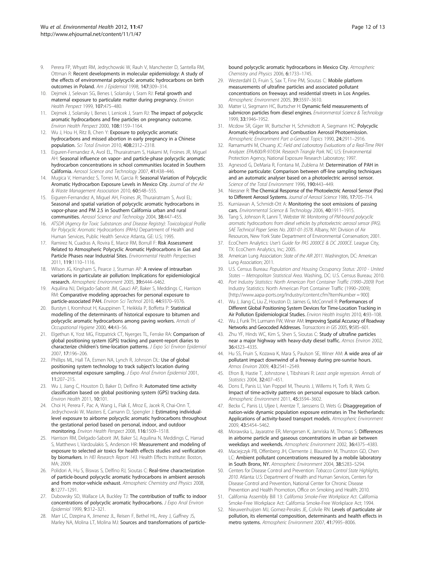- <span id="page-11-0"></span>9. Perera FP, Whyatt RM, Jedrychowski W, Rauh V, Manchester D, Santella RM, Ottman R: Recent developments in molecular epidemiology: A study of the effects of environmental polycyclic aromatic hydrocarbons on birth outcomes in Poland. Am J Epidemiol 1998, 147:309–314.
- 10. Dejmek J, Selevan SG, Benes I, Solansky I, Sram RJ: Fetal growth and maternal exposure to particulate matter during pregnancy. Environ Health Perspect 1999, 107:475–480.
- 11. Dejmek J, Solansky I, Benes I, Lenicek J, Sram RJ: The impact of polycyclic aromatic hydrocarbons and fine particles on pregnancy outcome. Environ Health Perspect 2000, 108:1159–1164.
- 12. Wu J, Hou H, Ritz B, Chen Y: Exposure to polycyclic aromatic hydrocarbons and missed abortion in early pregnancy in a Chinese population. Sci Total Environ 2010, 408:2312–2318.
- 13. Eiguren-Fernandez A, Avol EL, Thurairatnam S, Hakami M, Froines JR, Miguel AH: Seasonal influence on vapor- and particle-phase polycyclic aromatic hydrocarbon concentrations in school communities located in Southern California. Aerosol Science and Technology 2007, 41:438–446.
- 14. Mugica V, Hernandez S, Torres M, Garcia R: Seasonal Variation of Polycyclic Aromatic Hydrocarbon Exposure Levels in Mexico City. Journal of the Air & Waste Management Association 2010, 60:548–555.
- 15. Eiguren-Fernandez A, Miguel AH, Froines JR, Thurairatnam S, Avol EL: Seasonal and spatial variation of polycyclic aromatic hydrocarbons in vapor-phase and PM 2.5 in Southern California urban and rural communities. Aerosol Science and Technology 2004, 38:447–455.
- 16. ATSDR (Agency for Toxic Substances and Disease Registry): Toxicological Profile for Polycyclic Aromatic Hydrocarbons (PAHs) Department of Health and Human Services, Public Health Service Atlanta, GE: U.S; 1995.
- 17. Ramirez N, Cuadras A, Rovira E, Marce RM, Borrull F: Risk Assessment Related to Atmospheric Polycyclic Aromatic Hydrocarbons in Gas and Particle Phases near Industrial Sites. Environmental Health Perspectives 2011, 119:1110–1116.
- 18. Wilson JG, Kingham S, Pearce J, Sturman AP: A review of intraurban variations in particulate air pollution: Implications for epidemiological research. Atmospheric Environment 2005, 39:6444–6462.
- 19. Aquilina NJ, Delgado-Saborit JM, Gauci AP, Baker S, Meddings C, Harrison RM: Comparative modeling approaches for personal exposure to particle-associated PAH. Environ Sci Technol 2010, 44:9370–9376.
- 20. Burstyn I, Kromhout H, Kauppinen T, Heikkila P, Boffetta P: Statistical modelling of the determinants of historical exposure to bitumen and polycyclic aromatic hydrocarbons among paving workers. Annals of Occupational Hygiene 2000, 44:43–56.
- 21. Elgethun K, Yost MG, Fitzpatrick CT, Nyerges TL, Fenske RA: Comparison of global positioning system (GPS) tracking and parent-report diaries to characterize children's time-location patterns. J Expo Sci Environ Epidemiol 2007, 17:196–206.
- 22. Phillips ML, Hall TA, Esmen NA, Lynch R, Johnson DL: Use of global positioning system technology to track subject's location during environmental exposure sampling. J Expo Anal Environ Epidemiol 2001, 11:207–215.
- 23. Wu J, Jiang C, Houston D, Baker D, Delfino R: Automated time activity classification based on global positioning system (GPS) tracking data. Environ Health 2011, 10:101.
- 24. Choi H, Perera F, Pac A, Wang L, Flak E, Mroz E, Jacek R, Chai-Onn T, Jedrychowski W, Masters E, Camann D, Spengler J: Estimating individuallevel exposure to airborne polycyclic aromatic hydrocarbons throughout the gestational period based on personal, indoor, and outdoor monitoring. Environ Health Perspect 2008, 116:1509–1518.
- 25. Harrison RM, Delgado-Saborit JM, Baker SJ, Aquilina N, Meddings C, Harrad S, Matthews I, Vardoulakis S, Anderson HR: Measurement and modeling of exposure to selected air toxics for health effects studies and verification by biomarkers. In HEI Research Report 143. Health Effects Institute: Boston, MA; 2009.
- 26. Polidori A, Hu S, Biswas S, Delfino RJ, Sioutas C: Real-time characterization of particle-bound polycyclic aromatic hydrocarbons in ambient aerosols and from motor-vehicle exhaust. Atmospheric Chemistry and Physics 2008, 8:1277–1291.
- 27. Dubowsky SD, Wallace LA, Buckley TJ: The contribution of traffic to indoor concentrations of polycyclic aromatic hydrocarbons. J Expo Anal Environ Epidemiol 1999, 9:312–321.
- 28. Marr LC, Dzepina K, Jimenez JL, Reisen F, Bethel HL, Arey J, Gaffney JS, Marley NA, Molina LT, Molina MJ: Sources and transformations of particle-

bound polycyclic aromatic hydrocarbons in Mexico City. Atmospheric Chemistry and Physics 2006, 6:1733–1745.

- 29. Westerdahl D, Fruin S, Sax T, Fine PM, Sioutas C: Mobile platform measurements of ultrafine particles and associated pollutant concentrations on freeways and residential streets in Los Angeles. Atmospheric Environment 2005, 39:3597–3610.
- 30. Matter U, Siegmann HC, Burtscher H: Dynamic field measurements of submicron particles from diesel engines. Environmental Science & Technology 1999, 33:1946–1952.
- 31. Mcdow SR, Giger W, Burtscher H, Schmidtott A, Siegmann HC: Polycyclic Aromatic-Hydrocarbons and Combustion Aerosol Photoemission. Atmospheric Environment Part a-General Topics 1990, 24:2911–2916.
- 32. Ramamurthi M, Chuang JC: Field and Laboratory Evaluations of a Real-Time PAH Analyzer. EPA/600/R-97/034. Research Triangle Park. NC: U.S: Environmental Protection Agency, National Exposure Research Laboratory; 1997.
- 33. Agnesod G, DeMaria R, Fontana M, Zublena M: Determination of PAH in airborne particulate: Comparison between off-line sampling techniques and an automatic analyser based on a photoelectric aerosol sensor. Science of the Total Environment 1996, 190:443-449.
- 34. Niessner R: The Chemical Response of the Photoelectric Aerosol Sensor (Pas) to Different Aerosol Systems. Journal of Aerosol Science 1986, 17:705–714.
- 35. Kurniawan A, Schmidt-Ott A: Monitoring the soot emissions of passing cars. Environmental Science & Technology 2006, 40:1911–1915.
- 36. Tang S, Johnson R, Lanni T, Webster W: Monitoring of PM-bound polycyclic aromatic hydrocarbons from diesel vehicles by photoelectric aerosol sensor (PAS). SAE Technical Paper Series No. 2001-01-3578. Albany, NY: Division of Air Resources, New York State Department of Environmental Conservation; 2001.
- 37. EcoChem Analytics: User's Guide for PAS 2000CE & DC 2000CE. League City, TX: EcoChem Analytics, Inc; 2005.
- 38. American Lung Association: State of the AIR 2011. Washington, DC: American Lung Association; 2011.
- 39. U.S. Census Bureau: Population and Housing Occupancy Status: 2010 United States -- Metropolitan Statistical Area. Washing, DC: U.S. Census Bureau; 2010.
- 40. Port Industry Statistics: North American Port Container Traffic (1990–2009) Port Industry Statistics: North American Port Container Traffic (1990–2009); [http://www.aapa-ports.org/Industry/content.cfm?ItemNumber = 900]
- 41. Wu J, Jiang C, Liu Z, Houston D, Jaimes G, McConnell R: Performances of Different Global Positioning System Devices for Time-Location Tracking in Air Pollution Epidemiological Studies. Environ Health Insights 2010, 4:93-108.
- 42. Wu J, Funk TH, Lurmann FW, Winer AM: Improving Spatial Accuracy of Roadway Networks and Geocoded Addresses. Transactions in GIS 2005, 9:585–601.
- 43. Zhu YF, Hinds WC, Kim S, Shen S, Sioutas C: Study of ultrafine particles near a major highway with heavy-duty diesel traffic. Atmos Environ 2002, 36:4323–4335.
- 44. Hu SS, Fruin S, Kozawa K, Mara S, Paulson SE, Winer AM: A wide area of air pollutant impact downwind of a freeway during pre-sunrise hours. Atmos Environ 2009, 43:2541–2549.
- 45. Efron B, Hastie T, Johnstone I, Tibshirani R: Least angle regression. Annals of Statistics 2004, 32:407–451.
- 46. Dons E, Panis LI, Van Poppel M, Theunis J, Willems H, Torfs R, Wets G: Impact of time-activity patterns on personal exposure to black carbon. Atmospheric Environment 2011, 45:3594–3602.
- 47. Beckx C, Panis LI, Uljee I, Arentze T, Janssens D, Wets G: Disaggregation of nation-wide dynamic population exposure estimates in The Netherlands: Applications of activity-based transport models. Atmospheric Environment 2009, 43:5454–5462.
- Morawska L, Jayaratne ER, Mengersen K, Jamriska M, Thomas S: Differences in airborne particle and gaseous concentrations in urban air between weekdays and weekends. Atmospheric Environment 2002, 36:4375–4383.
- 49. Maciejczyk PB, Offenberg JH, Clemente J, Blaustein M, Thurston GD, Chen LC: Ambient pollutant concentrations measured by a mobile laboratory in South Bronx, NY. Atmospheric Environment 2004, 38:5283–5294.
- 50. Centers for Disease Control and Prevention: Tobacco Control State Highlights, 2010. Atlanta: U.S: Department of Health and Human Services, Centers for Disease Control and Prevention, National Center for Chronic Disease Prevention and Health Promotion, Office on Smoking and Health; 2010.
- 51. California Assembly Bill 13: California Smoke-Free Workplace Act. California Smoke-Free Workplace Act: California Smoke-Free Workplace Act; 1994.
- 52. Nieuwenhuijsen MJ, Gomez-Perales JE, Colvile RN: Levels of particulate air pollution, its elemental composition, determinants and health effects in metro systems. Atmospheric Environment 2007, 41:7995–8006.